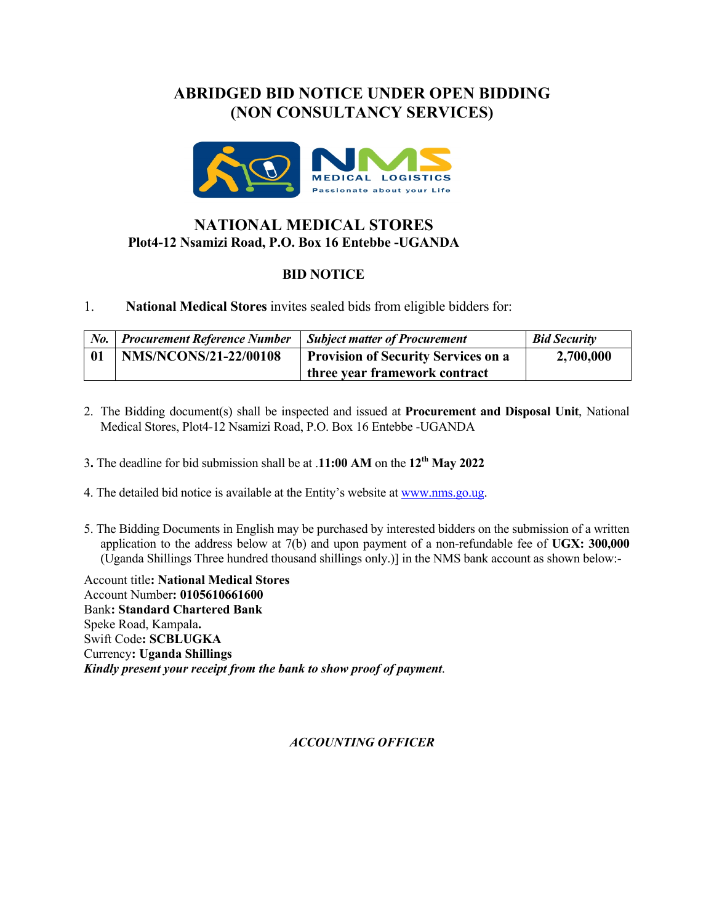# **ABRIDGED BID NOTICE UNDER OPEN BIDDING (NON CONSULTANCY SERVICES)**



## **NATIONAL MEDICAL STORES Plot4-12 Nsamizi Road, P.O. Box 16 Entebbe -UGANDA**

### **BID NOTICE**

1. **National Medical Stores** invites sealed bids from eligible bidders for:

| No. | Procurement Reference Number | <b>Subject matter of Procurement</b>       | <b>Bid Security</b> |
|-----|------------------------------|--------------------------------------------|---------------------|
|     | <b>NMS/NCONS/21-22/00108</b> | <b>Provision of Security Services on a</b> | 2,700,000           |
|     |                              | three year framework contract              |                     |

- 2. The Bidding document(s) shall be inspected and issued at **Procurement and Disposal Unit**, National Medical Stores, Plot4-12 Nsamizi Road, P.O. Box 16 Entebbe -UGANDA
- 3**.** The deadline for bid submission shall be at .**11:00 AM** on the **12th May 2022**
- 4. The detailed bid notice is available at the Entity's website at www.nms.go.ug.
- 5. The Bidding Documents in English may be purchased by interested bidders on the submission of a written application to the address below at 7(b) and upon payment of a non-refundable fee of **UGX: 300,000** (Uganda Shillings Three hundred thousand shillings only.)] in the NMS bank account as shown below:-

Account title**: National Medical Stores** Account Number**: 0105610661600** Bank**: Standard Chartered Bank** Speke Road, Kampala**.** Swift Code**: SCBLUGKA** Currency**: Uganda Shillings** *Kindly present your receipt from the bank to show proof of payment*.

#### *ACCOUNTING OFFICER*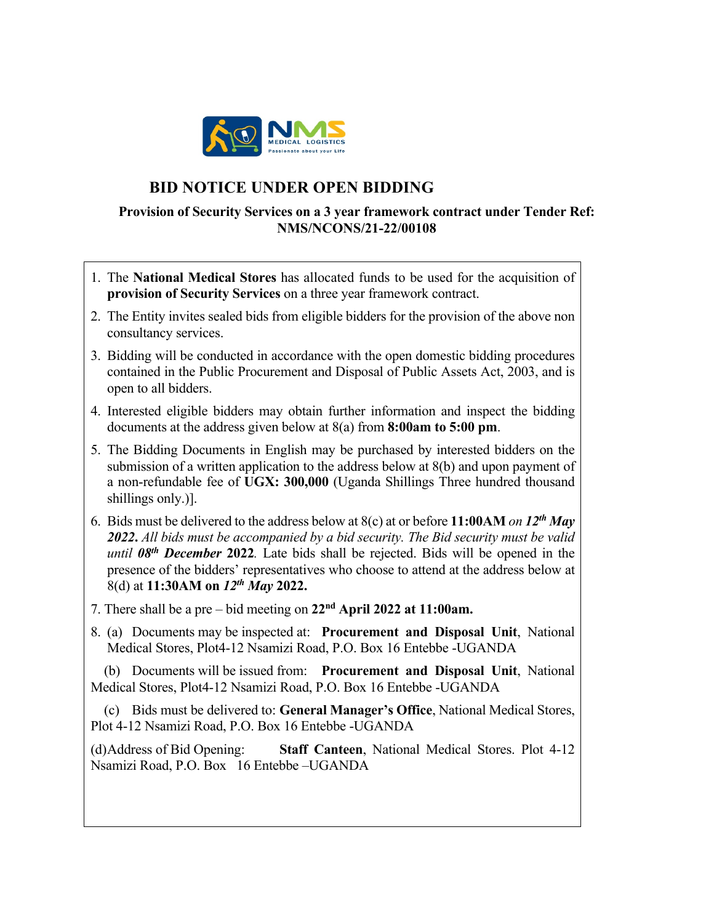

## **BID NOTICE UNDER OPEN BIDDING**

#### **Provision of Security Services on a 3 year framework contract under Tender Ref: NMS/NCONS/21-22/00108**

- 1. The **National Medical Stores** has allocated funds to be used for the acquisition of **provision of Security Services** on a three year framework contract.
- 2. The Entity invites sealed bids from eligible bidders for the provision of the above non consultancy services.
- 3. Bidding will be conducted in accordance with the open domestic bidding procedures contained in the Public Procurement and Disposal of Public Assets Act, 2003, and is open to all bidders.
- 4. Interested eligible bidders may obtain further information and inspect the bidding documents at the address given below at 8(a) from **8:00am to 5:00 pm**.
- 5. The Bidding Documents in English may be purchased by interested bidders on the submission of a written application to the address below at 8(b) and upon payment of a non-refundable fee of **UGX: 300,000** (Uganda Shillings Three hundred thousand shillings only.)].
- 6. Bids must be delivered to the address below at 8(c) at or before **11:00AM** *on 12th May 2022***.** *All bids must be accompanied by a bid security. The Bid security must be valid until 08th December* **2022***.* Late bids shall be rejected. Bids will be opened in the presence of the bidders' representatives who choose to attend at the address below at 8(d) at **11:30AM on** *12th May* **2022.**
- 7. There shall be a pre bid meeting on **22nd April 2022 at 11:00am.**
- 8. (a) Documents may be inspected at: **Procurement and Disposal Unit**, National Medical Stores, Plot4-12 Nsamizi Road, P.O. Box 16 Entebbe -UGANDA

 (b) Documents will be issued from: **Procurement and Disposal Unit**, National Medical Stores, Plot4-12 Nsamizi Road, P.O. Box 16 Entebbe -UGANDA

 (c) Bids must be delivered to: **General Manager's Office**, National Medical Stores, Plot 4-12 Nsamizi Road, P.O. Box 16 Entebbe -UGANDA

(d)Address of Bid Opening: **Staff Canteen**, National Medical Stores. Plot 4-12 Nsamizi Road, P.O. Box 16 Entebbe –UGANDA